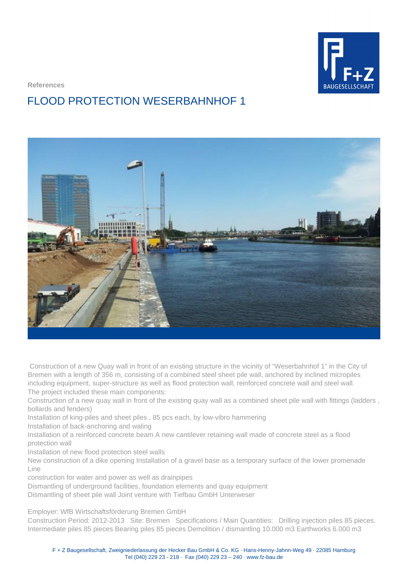

**References**

## FLOOD PROTECTION WESERBAHNHOF 1



 Construction of a new Quay wall in front of an existing structure in the vicinity of "Weserbahnhof 1" in the City of Bremen with a length of 356 m, consisting of a combined steel sheet pile wall, anchored by inclined micropiles including equipment, super-structure as well as flood protection wall, reinforced concrete wall and steel wall. The project included these main components:

Construction of a new quay wall in front of the existing quay wall as a combined sheet pile wall with fittings (ladders , bollards and fenders)

Installation of king-piles and sheet piles , 85 pcs each, by low-vibro hammering

Installation of back-anchoring and waling

Installation of a reinforced concrete beam A new cantilever retaining wall made of concrete steel as a flood protection wall

Installation of new flood protection steel walls

New construction of a dike opening Installation of a gravel base as a temporary surface of the lower promenade Line

construction for water and power as well as drainpipes

Dismantling of underground facilities, foundation elements and quay equipment

Dismantling of sheet pile wall Joint venture with Tiefbau GmbH Unterweser

Employer: WfB Wirtschaftsförderung Bremen GmbH

Construction Period: 2012-2013 Site: Bremen Specifications / Main Quantities: Drilling injection piles 85 pieces. Intermediate piles 85 pieces Bearing piles 85 pieces Demolition / dismantling 10.000 m3 Earthworks 6.000 m3